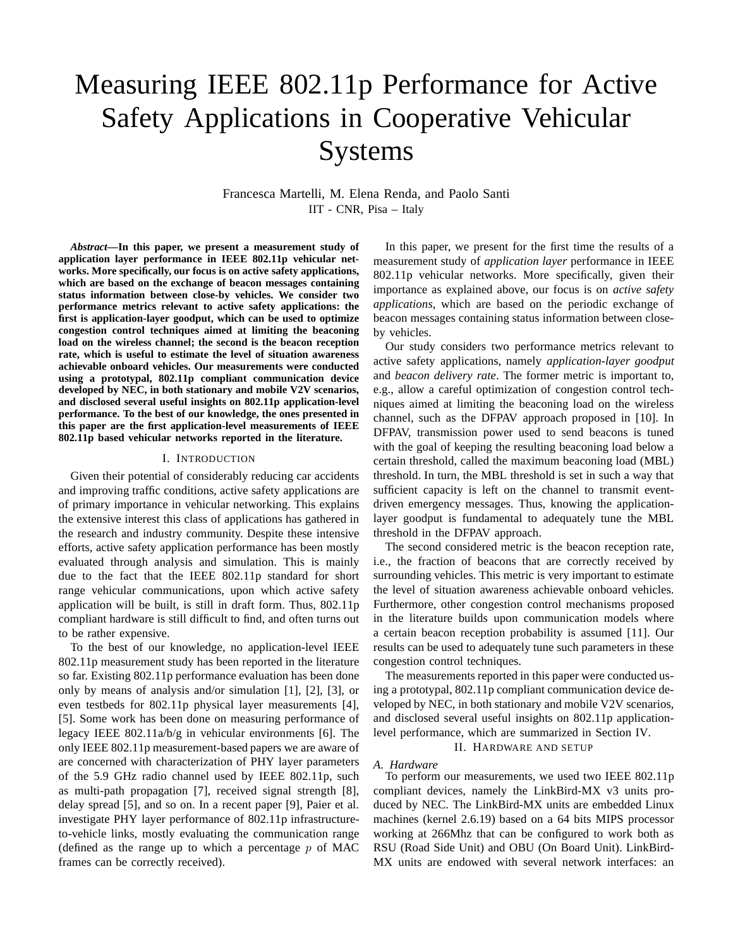# Measuring IEEE 802.11p Performance for Active Safety Applications in Cooperative Vehicular Systems

Francesca Martelli, M. Elena Renda, and Paolo Santi IIT - CNR, Pisa – Italy

*Abstract***—In this paper, we present a measurement study of application layer performance in IEEE 802.11p vehicular networks. More specifically, our focus is on active safety applications, which are based on the exchange of beacon messages containing status information between close-by vehicles. We consider two performance metrics relevant to active safety applications: the first is application-layer goodput, which can be used to optimize congestion control techniques aimed at limiting the beaconing load on the wireless channel; the second is the beacon reception rate, which is useful to estimate the level of situation awareness achievable onboard vehicles. Our measurements were conducted using a prototypal, 802.11p compliant communication device developed by NEC, in both stationary and mobile V2V scenarios, and disclosed several useful insights on 802.11p application-level performance. To the best of our knowledge, the ones presented in this paper are the first application-level measurements of IEEE 802.11p based vehicular networks reported in the literature.**

#### I. INTRODUCTION

Given their potential of considerably reducing car accidents and improving traffic conditions, active safety applications are of primary importance in vehicular networking. This explains the extensive interest this class of applications has gathered in the research and industry community. Despite these intensive efforts, active safety application performance has been mostly evaluated through analysis and simulation. This is mainly due to the fact that the IEEE 802.11p standard for short range vehicular communications, upon which active safety application will be built, is still in draft form. Thus, 802.11p compliant hardware is still difficult to find, and often turns out to be rather expensive.

To the best of our knowledge, no application-level IEEE 802.11p measurement study has been reported in the literature so far. Existing 802.11p performance evaluation has been done only by means of analysis and/or simulation [1], [2], [3], or even testbeds for 802.11p physical layer measurements [4], [5]. Some work has been done on measuring performance of legacy IEEE 802.11a/b/g in vehicular environments [6]. The only IEEE 802.11p measurement-based papers we are aware of are concerned with characterization of PHY layer parameters of the 5.9 GHz radio channel used by IEEE 802.11p, such as multi-path propagation [7], received signal strength [8], delay spread [5], and so on. In a recent paper [9], Paier et al. investigate PHY layer performance of 802.11p infrastructureto-vehicle links, mostly evaluating the communication range (defined as the range up to which a percentage  $p$  of MAC frames can be correctly received).

In this paper, we present for the first time the results of a measurement study of *application layer* performance in IEEE 802.11p vehicular networks. More specifically, given their importance as explained above, our focus is on *active safety applications*, which are based on the periodic exchange of beacon messages containing status information between closeby vehicles.

Our study considers two performance metrics relevant to active safety applications, namely *application-layer goodput* and *beacon delivery rate*. The former metric is important to, e.g., allow a careful optimization of congestion control techniques aimed at limiting the beaconing load on the wireless channel, such as the DFPAV approach proposed in [10]. In DFPAV, transmission power used to send beacons is tuned with the goal of keeping the resulting beaconing load below a certain threshold, called the maximum beaconing load (MBL) threshold. In turn, the MBL threshold is set in such a way that sufficient capacity is left on the channel to transmit eventdriven emergency messages. Thus, knowing the applicationlayer goodput is fundamental to adequately tune the MBL threshold in the DFPAV approach.

The second considered metric is the beacon reception rate, i.e., the fraction of beacons that are correctly received by surrounding vehicles. This metric is very important to estimate the level of situation awareness achievable onboard vehicles. Furthermore, other congestion control mechanisms proposed in the literature builds upon communication models where a certain beacon reception probability is assumed [11]. Our results can be used to adequately tune such parameters in these congestion control techniques.

The measurements reported in this paper were conducted using a prototypal, 802.11p compliant communication device developed by NEC, in both stationary and mobile V2V scenarios, and disclosed several useful insights on 802.11p applicationlevel performance, which are summarized in Section IV.

II. HARDWARE AND SETUP

#### *A. Hardware*

To perform our measurements, we used two IEEE 802.11p compliant devices, namely the LinkBird-MX v3 units produced by NEC. The LinkBird-MX units are embedded Linux machines (kernel 2.6.19) based on a 64 bits MIPS processor working at 266Mhz that can be configured to work both as RSU (Road Side Unit) and OBU (On Board Unit). LinkBird-MX units are endowed with several network interfaces: an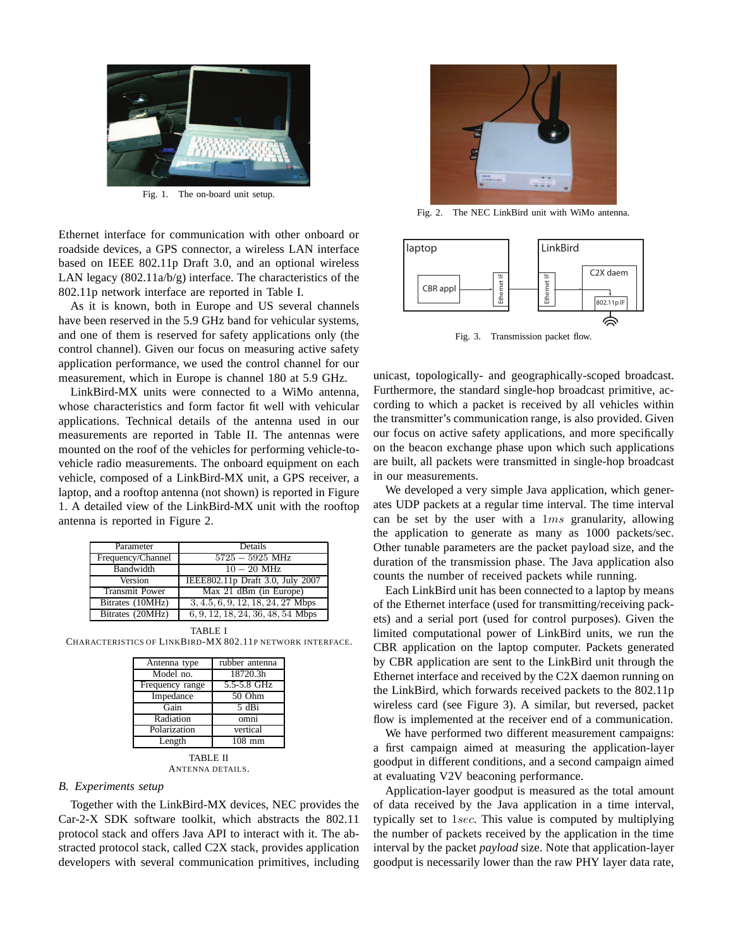

Fig. 1. The on-board unit setup.

Ethernet interface for communication with other onboard or roadside devices, a GPS connector, a wireless LAN interface based on IEEE 802.11p Draft 3.0, and an optional wireless LAN legacy  $(802.11a/b/g)$  interface. The characteristics of the 802.11p network interface are reported in Table I.

As it is known, both in Europe and US several channels have been reserved in the 5.9 GHz band for vehicular systems, and one of them is reserved for safety applications only (the control channel). Given our focus on measuring active safety application performance, we used the control channel for our measurement, which in Europe is channel 180 at 5.9 GHz.

LinkBird-MX units were connected to a WiMo antenna, whose characteristics and form factor fit well with vehicular applications. Technical details of the antenna used in our measurements are reported in Table II. The antennas were mounted on the roof of the vehicles for performing vehicle-tovehicle radio measurements. The onboard equipment on each vehicle, composed of a LinkBird-MX unit, a GPS receiver, a laptop, and a rooftop antenna (not shown) is reported in Figure 1. A detailed view of the LinkBird-MX unit with the rooftop antenna is reported in Figure 2.

| Parameter             | Details                             |  |  |  |  |  |
|-----------------------|-------------------------------------|--|--|--|--|--|
| Frequency/Channel     | $5725 - 5925$ MHz                   |  |  |  |  |  |
| Bandwidth             | $10-20$ MHz                         |  |  |  |  |  |
| Version               | IEEE802.11p Draft 3.0, July 2007    |  |  |  |  |  |
| <b>Transmit Power</b> | Max $21$ dBm (in Europe)            |  |  |  |  |  |
| Bitrates (10MHz)      | $3, 4.5, 6, 9, 12, 18, 24, 27$ Mbps |  |  |  |  |  |
| Bitrates (20MHz)      | 6, 9, 12, 18, 24, 36, 48, 54 Mbps   |  |  |  |  |  |

TABLE I

CHARACTERISTICS OF LINKBIRD-MX 802.11P NETWORK INTERFACE.

| Antenna type    | rubber antenna      |  |  |  |  |
|-----------------|---------------------|--|--|--|--|
| Model no.       | 18720.3h            |  |  |  |  |
| Frequency range | 5.5-5.8 GHz         |  |  |  |  |
| Impedance       | 50 Ohm              |  |  |  |  |
| Gain            | 5 dBi               |  |  |  |  |
| Radiation       | omni                |  |  |  |  |
| Polarization    | vertical            |  |  |  |  |
| Length          | $\overline{108}$ mm |  |  |  |  |
| <b>TABLE II</b> |                     |  |  |  |  |

ANTENNA DETAILS.

## *B. Experiments setup*

Together with the LinkBird-MX devices, NEC provides the Car-2-X SDK software toolkit, which abstracts the 802.11 protocol stack and offers Java API to interact with it. The abstracted protocol stack, called C2X stack, provides application developers with several communication primitives, including



Fig. 2. The NEC LinkBird unit with WiMo antenna.



Fig. 3. Transmission packet flow.

unicast, topologically- and geographically-scoped broadcast. Furthermore, the standard single-hop broadcast primitive, according to which a packet is received by all vehicles within the transmitter's communication range, is also provided. Given our focus on active safety applications, and more specifically on the beacon exchange phase upon which such applications are built, all packets were transmitted in single-hop broadcast in our measurements.

We developed a very simple Java application, which generates UDP packets at a regular time interval. The time interval can be set by the user with a  $1ms$  granularity, allowing the application to generate as many as 1000 packets/sec. Other tunable parameters are the packet payload size, and the duration of the transmission phase. The Java application also counts the number of received packets while running.

Each LinkBird unit has been connected to a laptop by means of the Ethernet interface (used for transmitting/receiving packets) and a serial port (used for control purposes). Given the limited computational power of LinkBird units, we run the CBR application on the laptop computer. Packets generated by CBR application are sent to the LinkBird unit through the Ethernet interface and received by the C2X daemon running on the LinkBird, which forwards received packets to the 802.11p wireless card (see Figure 3). A similar, but reversed, packet flow is implemented at the receiver end of a communication.

We have performed two different measurement campaigns: a first campaign aimed at measuring the application-layer goodput in different conditions, and a second campaign aimed at evaluating V2V beaconing performance.

Application-layer goodput is measured as the total amount of data received by the Java application in a time interval, typically set to 1sec. This value is computed by multiplying the number of packets received by the application in the time interval by the packet *payload* size. Note that application-layer goodput is necessarily lower than the raw PHY layer data rate,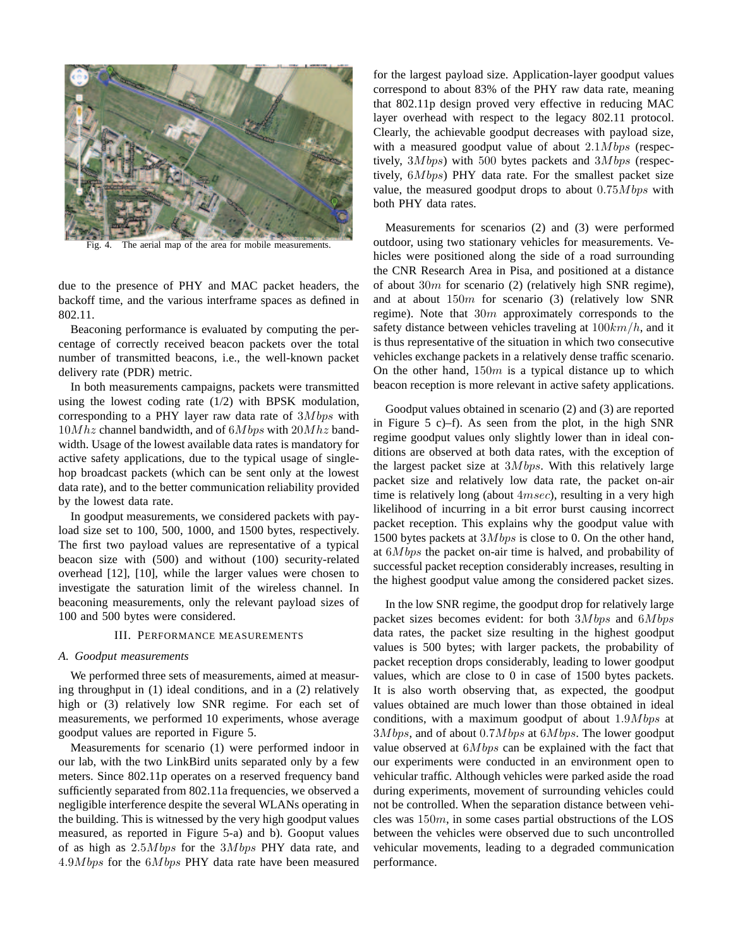

Fig. 4. The aerial map of the area for mobile measurements.

due to the presence of PHY and MAC packet headers, the backoff time, and the various interframe spaces as defined in 802.11.

Beaconing performance is evaluated by computing the percentage of correctly received beacon packets over the total number of transmitted beacons, i.e., the well-known packet delivery rate (PDR) metric.

In both measurements campaigns, packets were transmitted using the lowest coding rate (1/2) with BPSK modulation, corresponding to a PHY layer raw data rate of  $3Mbps$  with  $10Mhz$  channel bandwidth, and of  $6Mbps$  with  $20Mhz$  bandwidth. Usage of the lowest available data rates is mandatory for active safety applications, due to the typical usage of singlehop broadcast packets (which can be sent only at the lowest data rate), and to the better communication reliability provided by the lowest data rate.

In goodput measurements, we considered packets with payload size set to 100, 500, 1000, and 1500 bytes, respectively. The first two payload values are representative of a typical beacon size with (500) and without (100) security-related overhead [12], [10], while the larger values were chosen to investigate the saturation limit of the wireless channel. In beaconing measurements, only the relevant payload sizes of 100 and 500 bytes were considered.

## III. PERFORMANCE MEASUREMENTS

#### *A. Goodput measurements*

We performed three sets of measurements, aimed at measuring throughput in (1) ideal conditions, and in a (2) relatively high or (3) relatively low SNR regime. For each set of measurements, we performed 10 experiments, whose average goodput values are reported in Figure 5.

Measurements for scenario (1) were performed indoor in our lab, with the two LinkBird units separated only by a few meters. Since 802.11p operates on a reserved frequency band sufficiently separated from 802.11a frequencies, we observed a negligible interference despite the several WLANs operating in the building. This is witnessed by the very high goodput values measured, as reported in Figure 5-a) and b). Gooput values of as high as  $2.5Mbps$  for the  $3Mbps$  PHY data rate, and  $4.9Mbps$  for the  $6Mbps$  PHY data rate have been measured

for the largest payload size. Application-layer goodput values correspond to about 83% of the PHY raw data rate, meaning that 802.11p design proved very effective in reducing MAC layer overhead with respect to the legacy 802.11 protocol. Clearly, the achievable goodput decreases with payload size, with a measured goodput value of about  $2.1Mbps$  (respectively,  $3Mbps$ ) with 500 bytes packets and  $3Mbps$  (respectively,  $6Mbps$ ) PHY data rate. For the smallest packet size value, the measured goodput drops to about  $0.75Mbps$  with both PHY data rates.

Measurements for scenarios (2) and (3) were performed outdoor, using two stationary vehicles for measurements. Vehicles were positioned along the side of a road surrounding the CNR Research Area in Pisa, and positioned at a distance of about 30m for scenario (2) (relatively high SNR regime), and at about  $150m$  for scenario (3) (relatively low SNR regime). Note that  $30m$  approximately corresponds to the safety distance between vehicles traveling at  $100km/h$ , and it is thus representative of the situation in which two consecutive vehicles exchange packets in a relatively dense traffic scenario. On the other hand,  $150m$  is a typical distance up to which beacon reception is more relevant in active safety applications.

Goodput values obtained in scenario (2) and (3) are reported in Figure 5 c)–f). As seen from the plot, in the high SNR regime goodput values only slightly lower than in ideal conditions are observed at both data rates, with the exception of the largest packet size at  $3Mbps$ . With this relatively large packet size and relatively low data rate, the packet on-air time is relatively long (about  $4msec$ ), resulting in a very high likelihood of incurring in a bit error burst causing incorrect packet reception. This explains why the goodput value with 1500 bytes packets at  $3Mbps$  is close to 0. On the other hand, at  $6Mbps$  the packet on-air time is halved, and probability of successful packet reception considerably increases, resulting in the highest goodput value among the considered packet sizes.

In the low SNR regime, the goodput drop for relatively large packet sizes becomes evident: for both  $3Mbps$  and  $6Mbps$ data rates, the packet size resulting in the highest goodput values is 500 bytes; with larger packets, the probability of packet reception drops considerably, leading to lower goodput values, which are close to 0 in case of 1500 bytes packets. It is also worth observing that, as expected, the goodput values obtained are much lower than those obtained in ideal conditions, with a maximum goodput of about  $1.9Mbps$  at  $3Mbps$ , and of about 0.7*M* bps at  $6Mbps$ . The lower goodput value observed at  $6Mbps$  can be explained with the fact that our experiments were conducted in an environment open to vehicular traffic. Although vehicles were parked aside the road during experiments, movement of surrounding vehicles could not be controlled. When the separation distance between vehicles was  $150m$ , in some cases partial obstructions of the LOS between the vehicles were observed due to such uncontrolled vehicular movements, leading to a degraded communication performance.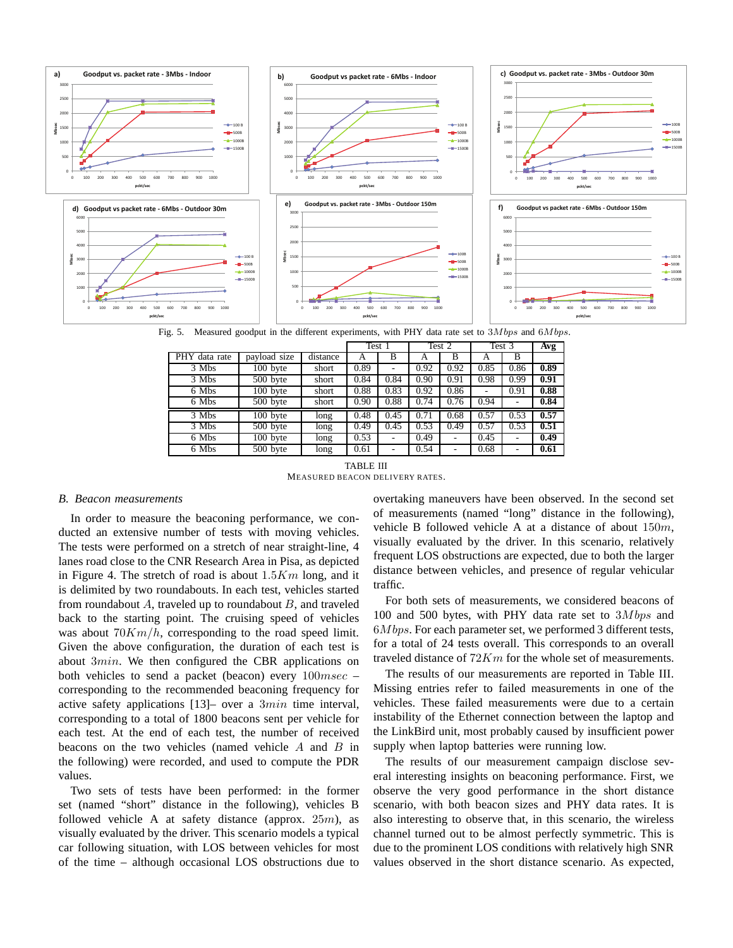

Fig. 5. Measured goodput in the different experiments, with PHY data rate set to  $3Mbps$  and  $6Mbps$ .

|               |                       |          | Test 1 |                          | Test 2 |      | Test 3 |      | Avg  |
|---------------|-----------------------|----------|--------|--------------------------|--------|------|--------|------|------|
| PHY data rate | payload size          | distance | A      | B                        | А      | B    | A      | B    |      |
| 3 Mbs         | 100 byte              | short    | 0.89   | ٠                        | 0.92   | 0.92 | 0.85   | 0.86 | 0.89 |
| 3 Mbs         | 500 byte              | short    | 0.84   | 0.84                     | 0.90   | 0.91 | 0.98   | 0.99 | 0.91 |
| 6 Mbs         | $\overline{100}$ byte | short    | 0.88   | 0.83                     | 0.92   | 0.86 |        | 0.91 | 0.88 |
| 6 Mbs         | 500 byte              | short    | 0.90   | 0.88                     | 0.74   | 0.76 | 0.94   |      | 0.84 |
| 3 Mbs         | 100 byte              | long     | 0.48   | 0.45                     | 0.71   | 0.68 | 0.57   | 0.53 | 0.57 |
| 3 Mbs         | 500 byte              | long     | 0.49   | 0.45                     | 0.53   | 0.49 | 0.57   | 0.53 | 0.51 |
| 6 Mbs         | $\overline{100}$ byte | long     | 0.53   |                          | 0.49   |      | 0.45   |      | 0.49 |
| 6 Mbs         | 500 byte              | long     | 0.61   | $\overline{\phantom{0}}$ | 0.54   | ٠    | 0.68   |      | 0.61 |

**TABLE III** MEASURED BEACON DELIVERY RATES.

#### **B.** Beacon measurements

In order to measure the beaconing performance, we conducted an extensive number of tests with moving vehicles. The tests were performed on a stretch of near straight-line, 4 lanes road close to the CNR Research Area in Pisa, as depicted in Figure 4. The stretch of road is about  $1.5Km$  long, and it is delimited by two roundabouts. In each test, vehicles started from roundabout  $A$ , traveled up to roundabout  $B$ , and traveled back to the starting point. The cruising speed of vehicles was about  $70Km/h$ , corresponding to the road speed limit. Given the above configuration, the duration of each test is about  $3min$ . We then configured the CBR applications on both vehicles to send a packet (beacon) every  $100msec$ corresponding to the recommended beaconing frequency for active safety applications  $[13]$ - over a  $3min$  time interval, corresponding to a total of 1800 beacons sent per vehicle for each test. At the end of each test, the number of received beacons on the two vehicles (named vehicle  $A$  and  $B$  in the following) were recorded, and used to compute the PDR values.

Two sets of tests have been performed: in the former set (named "short" distance in the following), vehicles B followed vehicle A at safety distance (approx.  $25m$ ), as visually evaluated by the driver. This scenario models a typical car following situation, with LOS between vehicles for most of the time – although occasional LOS obstructions due to

overtaking maneuvers have been observed. In the second set of measurements (named "long" distance in the following), vehicle B followed vehicle A at a distance of about  $150m$ , visually evaluated by the driver. In this scenario, relatively frequent LOS obstructions are expected, due to both the larger distance between vehicles, and presence of regular vehicular traffic.

For both sets of measurements, we considered beacons of 100 and 500 bytes, with PHY data rate set to  $3Mbps$  and  $6Mbps$ . For each parameter set, we performed 3 different tests, for a total of 24 tests overall. This corresponds to an overall traveled distance of  $72Km$  for the whole set of measurements.

The results of our measurements are reported in Table III. Missing entries refer to failed measurements in one of the vehicles. These failed measurements were due to a certain instability of the Ethernet connection between the laptop and the LinkBird unit, most probably caused by insufficient power supply when laptop batteries were running low.

The results of our measurement campaign disclose several interesting insights on beaconing performance. First, we observe the very good performance in the short distance scenario, with both beacon sizes and PHY data rates. It is also interesting to observe that, in this scenario, the wireless channel turned out to be almost perfectly symmetric. This is due to the prominent LOS conditions with relatively high SNR values observed in the short distance scenario. As expected,